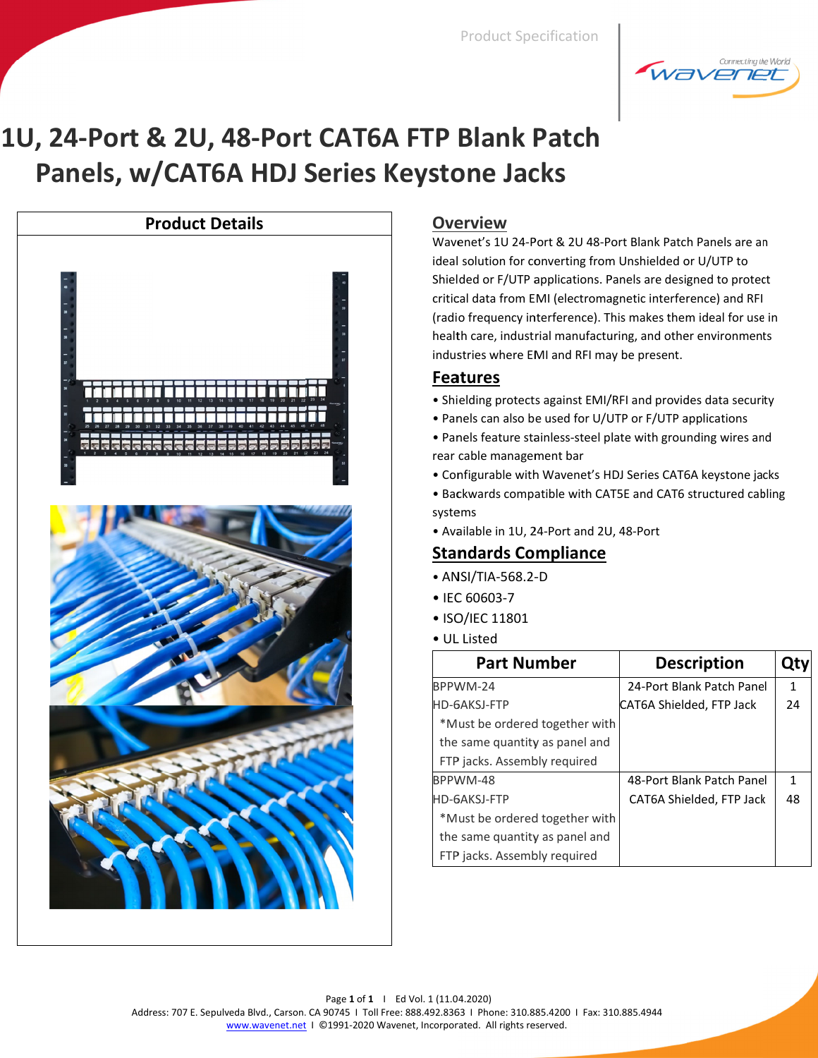**Product Specification** 

Connecting the World *AVenet* 

# 1U, 24-Port & 2U, 48-Port CAT6A FTP Blank Patch Panels, w/CAT6A HDJ Series Keystone Jacks



#### **Overview**

Wavenet's 1U 24-Port & 2U 48-Port Blank Patch Panels are an ideal solution for converting from Unshielded or U/UTP to Shielded or F/UTP applications. Panels are designed to protect critical data from EMI (electromagnetic interference) and RFI (radio frequency interference). This makes them ideal for use in health care, industrial manufacturing, and other environments industries where EMI and RFI may be present.

#### **Features**

- Shielding protects against EMI/RFI and provides data security
- Panels can also be used for U/UTP or F/UTP applications
- Panels feature stainless-steel plate with grounding wires and rear cable management bar
- Configurable with Wavenet's HDJ Series CAT6A keystone jacks
- Backwards compatible with CAT5E and CAT6 structured cabling systems
- Available in 1U, 24-Port and 2U, 48-Port

### **Standards Compliance**

- ANSI/TIA-568.2-D
- IEC 60603-7
- ISO/IEC 11801
- UL Listed

| <b>Part Number</b>             | <b>Description</b>        |    |
|--------------------------------|---------------------------|----|
| BPPWM-24                       | 24-Port Blank Patch Panel | 1  |
| HD-6AKSJ-FTP                   | CAT6A Shielded, FTP Jack  | 24 |
| *Must be ordered together with |                           |    |
| the same quantity as panel and |                           |    |
| FTP jacks. Assembly required   |                           |    |
| BPPWM-48                       | 48-Port Blank Patch Panel | 1  |
| HD-6AKSJ-FTP                   | CAT6A Shielded, FTP Jack  | 48 |
| *Must be ordered together with |                           |    |
| the same quantity as panel and |                           |    |
| FTP jacks. Assembly required   |                           |    |